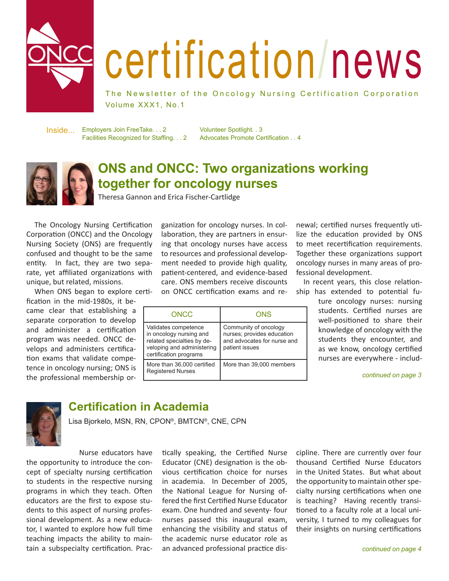

# certification/news

The Newsletter of the Oncology Nursing Certification Corporation Volume XXX1, No.1

Employers Join FreeTake. . . 2 Facilities Recognized for Staffing. . . 2 Inside...

Volunteer Spotlight. . 3 Advocates Promote Certification . . 4



# **ONS and ONCC: Two organizations working together for oncology nurses**

Theresa Gannon and Erica Fischer-Cartlidge

 The Oncology Nursing Certification Corporation (ONCC) and the Oncology Nursing Society (ONS) are frequently confused and thought to be the same entity. In fact, they are two separate, yet affiliated organizations with unique, but related, missions.

 When ONS began to explore certi-

fication in the mid-1980s, it became clear that establishing a separate corporation to develop and administer a certification program was needed. ONCC develops and administers certification exams that validate competence in oncology nursing; ONS is the professional membership organization for oncology nurses. In collaboration, they are partners in ensuring that oncology nurses have access to resources and professional development needed to provide high quality, patient-centered, and evidence-based care. ONS members receive discounts on ONCC certification exams and re-

| ONCC                                                                                                                                  | ONS                                                                                                  |
|---------------------------------------------------------------------------------------------------------------------------------------|------------------------------------------------------------------------------------------------------|
| Validates competence<br>in oncology nursing and<br>related specialties by de-<br>veloping and administering<br>certification programs | Community of oncology<br>nurses; provides education<br>and advocates for nurse and<br>patient issues |
| More than 36,000 certified<br><b>Registered Nurses</b>                                                                                | More than 39,000 members                                                                             |

newal; certified nurses frequently utilize the education provided by ONS to meet recertification requirements. Together these organizations support oncology nurses in many areas of professional development.

 In recent years, this close relationship has extended to potential fu-

> ture oncology nurses: nursing students. Certified nurses are well-positioned to share their knowledge of oncology with the students they encounter, and as we know, oncology certified nurses are everywhere - includ-

> > *continued on page 3*



## **Certification in Academia**

Lisa Bjorkelo, MSN, RN, CPON®, BMTCN®, CNE, CPN

 Nurse educators have the opportunity to introduce the concept of specialty nursing certification to students in the respective nursing programs in which they teach. Often educators are the first to expose students to this aspect of nursing professional development. As a new educator, I wanted to explore how full time teaching impacts the ability to maintain a subspecialty certification. Practically speaking, the Certified Nurse Educator (CNE) designation is the obvious certification choice for nurses in academia. In December of 2005, the National League for Nursing offered the first Certified Nurse Educator exam. One hundred and seventy- four nurses passed this inaugural exam, enhancing the visibility and status of the academic nurse educator role as an advanced professional practice discipline. There are currently over four thousand Certified Nurse Educators in the United States. But what about the opportunity to maintain other specialty nursing certifications when one is teaching? Having recently transitioned to a faculty role at a local university, I turned to my colleagues for their insights on nursing certifications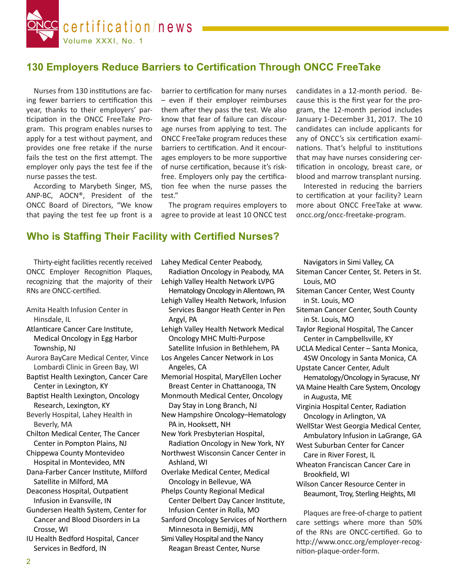

### **130 Employers Reduce Barriers to Certification Through ONCC FreeTake**

Nurses from 130 institutions are facing fewer barriers to certification this year, thanks to their employers' participation in the ONCC FreeTake Program. This program enables nurses to apply for a test without payment, and provides one free retake if the nurse fails the test on the first attempt. The employer only pays the test fee if the nurse passes the test.

 According to Marybeth Singer, MS, ANP-BC, AOCN®, President of the ONCC Board of Directors, "We know that paying the test fee up front is a

barrier to certification for many nurses – even if their employer reimburses them after they pass the test. We also know that fear of failure can discourage nurses from applying to test. The ONCC FreeTake program reduces these barriers to certification. And it encourages employers to be more supportive of nurse certification, because it's riskfree. Employers only pay the certification fee when the nurse passes the test."

 The program requires employers to agree to provide at least 10 ONCC test candidates in a 12-month period. Because this is the first year for the program, the 12-month period includes January 1-December 31, 2017. The 10 candidates can include applicants for any of ONCC's six certification examinations. That's helpful to institutions that may have nurses considering certification in oncology, breast care, or blood and marrow transplant nursing.

 Interested in reducing the barriers to certification at your facility? Learn more about ONCC FreeTake at www. oncc.org/oncc-freetake-program.

#### **Who is Staffing Their Facility with Certified Nurses?**

 Thirty-eight facilities recently received ONCC Employer Recognition Plaques, recognizing that the majority of their RNs are ONCC-certified.

- Amita Health Infusion Center in Hinsdale, IL
- Atlanticare Cancer Care Institute, Medical Oncology in Egg Harbor Township, NJ
- Aurora BayCare Medical Center, Vince Lombardi Clinic in Green Bay, WI
- Baptist Health Lexington, Cancer Care Center in Lexington, KY
- Baptist Health Lexington, Oncology Research, Lexington, KY
- Beverly Hospital, Lahey Health in Beverly, MA
- Chilton Medical Center, The Cancer Center in Pompton Plains, NJ
- Chippewa County Montevideo Hospital in Montevideo, MN

Dana-Farber Cancer Institute, Milford Satellite in Milford, MA

- Deaconess Hospital, Outpatient Infusion in Evansville, IN
- Gundersen Health System, Center for Cancer and Blood Disorders in La Crosse, WI
- IU Health Bedford Hospital, Cancer Services in Bedford, IN

Lahey Medical Center Peabody, 

- Radiation Oncology in Peabody, MA Lehigh Valley Health Network LVPG
- Hematology Oncology in Allentown, PA
- Lehigh Valley Health Network, Infusion Services Bangor Heath Center in Pen Argyl, PA
- Lehigh Valley Health Network Medical Oncology MHC Multi-Purpose Satellite Infusion in Bethlehem, PA
- Los Angeles Cancer Network in Los Angeles, CA
- Memorial Hospital, MaryEllen Locher Breast Center in Chattanooga, TN
- Monmouth Medical Center, Oncology Day Stay in Long Branch, NJ
- New Hampshire Oncology–Hematology PA in, Hooksett, NH
- New York Presbyterian Hospital, Radiation Oncology in New York, NY
- Northwest Wisconsin Cancer Center in Ashland, WI
- Overlake Medical Center, Medical Oncology in Bellevue, WA Phelps County Regional Medical
- Center Delbert Day Cancer Institute, Infusion Center in Rolla, MO
- Sanford Oncology Services of Northern Minnesota in Bemidji, MN
- Simi Valley Hospital and the Nancy Reagan Breast Center, Nurse

 Navigators in Simi Valley, CA Siteman Cancer Center, St. Peters in St. Louis, MO Siteman Cancer Center, West County in St. Louis, MO Siteman Cancer Center, South County in St. Louis, MO Taylor Regional Hospital, The Cancer Center in Campbellsville, KY UCLA Medical Center – Santa Monica, 4SW Oncology in Santa Monica, CA Upstate Cancer Center, Adult Hematology/Oncology in Syracuse, NY VA Maine Health Care System, Oncology in Augusta, ME Virginia Hospital Center, Radiation Oncology in Arlington, VA WellStar West Georgia Medical Center, Ambulatory Infusion in LaGrange, GA West Suburban Center for Cancer Care in River Forest, IL Wheaton Franciscan Cancer Care in Brookfield, WI Wilson Cancer Resource Center in Beaumont, Troy, Sterling Heights, MI

 Plaques are free-of-charge to patient care settings where more than 50% of the RNs are ONCC-certified. Go to http://www.oncc.org/employer-recognition-plaque-order-form.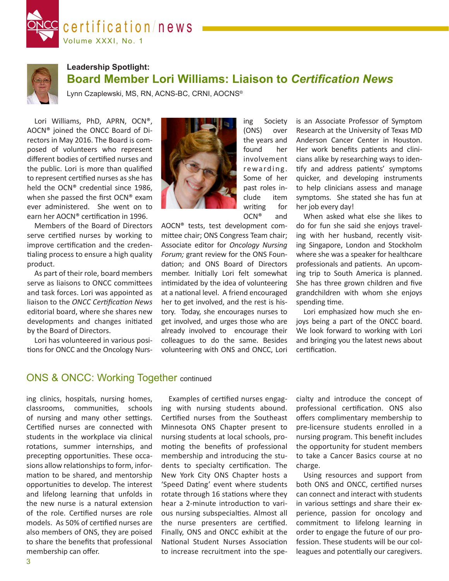



## **Leadership Spotlight: Board Member Lori Williams: Liaison to** *Certification News*

Lynn Czaplewski, MS, RN, ACNS-BC, CRNI, AOCNS®

 Lori Williams, PhD, APRN, OCN®, AOCN® joined the ONCC Board of Directors in May 2016. The Board is composed of volunteers who represent different bodies of certified nurses and the public. Lori is more than qualified to represent certified nurses as she has held the OCN® credential since 1986, when she passed the first OCN® exam ever administered. She went on to earn her AOCN® certification in 1996.

 Members of the Board of Directors serve certified nurses by working to improve certification and the credentialing process to ensure a high quality product. 

 As part of their role, board members serve as liaisons to ONCC committees and task forces. Lori was appointed as liaison to the *ONCC Certification News* editorial board, where she shares new developments and changes initiated by the Board of Directors.

 Lori has volunteered in various positions for ONCC and the Oncology Nurs-



ing Society (ONS) over the years and found her involvement rewarding. Some of her past roles include item writing for OCN® and

AOCN® tests, test development committee chair; ONS Congress Team chair; Associate editor for *Oncology Nursing Forum;* grant review for the ONS Foundation; and ONS Board of Directors member. Initially Lori felt somewhat intimidated by the idea of volunteering at a national level. A friend encouraged her to get involved, and the rest is history. Today, she encourages nurses to get involved, and urges those who are already involved to encourage their colleagues to do the same. Besides volunteering with ONS and ONCC, Lori is an Associate Professor of Symptom Research at the University of Texas MD Anderson Cancer Center in Houston. Her work benefits patients and clinicians alike by researching ways to identify and address patients' symptoms quicker, and developing instruments to help clinicians assess and manage symptoms. She stated she has fun at her job every day!

 When asked what else she likes to do for fun she said she enjoys traveling with her husband, recently visiting Singapore, London and Stockholm where she was a speaker for healthcare professionals and patients. An upcoming trip to South America is planned. She has three grown children and five grandchildren with whom she enjoys spending time.

 Lori emphasized how much she enjoys being a part of the ONCC board. We look forward to working with Lori and bringing you the latest news about certification.

#### ONS & ONCC: Working Together continued

ing clinics, hospitals, nursing homes, classrooms, communities, schools of nursing and many other settings. Certified nurses are connected with students in the workplace via clinical rotations, summer internships, and precepting opportunities. These occasions allow relationships to form, information to be shared, and mentorship opportunities to develop. The interest and lifelong learning that unfolds in the new nurse is a natural extension of the role. Certified nurses are role models. As 50% of certified nurses are also members of ONS, they are poised to share the benefits that professional membership can offer.

 Examples of certified nurses engaging with nursing students abound. Certified nurses from the Southeast Minnesota ONS Chapter present to nursing students at local schools, promoting the benefits of professional membership and introducing the students to specialty certification. The New York City ONS Chapter hosts a 'Speed Dating' event where students rotate through 16 stations where they hear a 2-minute introduction to various nursing subspecialties. Almost all the nurse presenters are certified. Finally, ONS and ONCC exhibit at the National Student Nurses Association to increase recruitment into the specialty and introduce the concept of professional certification. ONS also offers complimentary membership to pre-licensure students enrolled in a nursing program. This benefit includes the opportunity for student members to take a Cancer Basics course at no charge.

 Using resources and support from both ONS and ONCC, certified nurses can connect and interact with students in various settings and share their experience, passion for oncology and commitment to lifelong learning in order to engage the future of our profession. These students will be our colleagues and potentially our caregivers.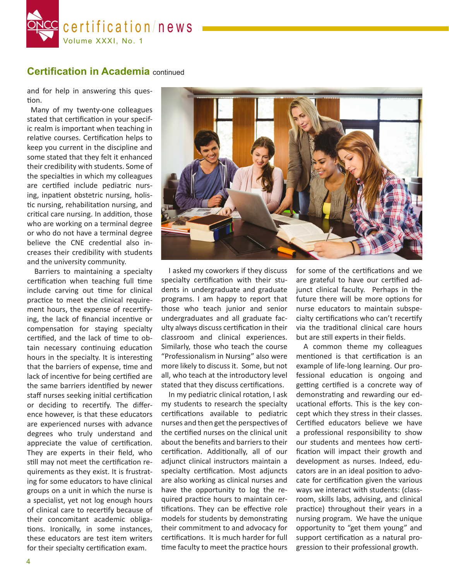

#### **Certification in Academia** continued

and for help in answering this question.

Many of my twenty-one colleagues stated that certification in your specific realm is important when teaching in relative courses. Certification helps to keep you current in the discipline and some stated that they felt it enhanced their credibility with students. Some of the specialties in which my colleagues are certified include pediatric nursing, inpatient obstetric nursing, holistic nursing, rehabilitation nursing, and critical care nursing. In addition, those who are working on a terminal degree or who do not have a terminal degree believe the CNE credential also increases their credibility with students and the university community.

 Barriers to maintaining a specialty certification when teaching full time include carving out time for clinical practice to meet the clinical requirement hours, the expense of recertifying, the lack of financial incentive or compensation for staying specialty certified, and the lack of time to obtain necessary continuing education hours in the specialty. It is interesting that the barriers of expense, time and lack of incentive for being certified are the same barriers identified by newer staff nurses seeking initial certification or deciding to recertify. The difference however, is that these educators are experienced nurses with advance degrees who truly understand and appreciate the value of certification. They are experts in their field, who still may not meet the certification requirements as they exist. It is frustrating for some educators to have clinical groups on a unit in which the nurse is a specialist, yet not log enough hours of clinical care to recertify because of their concomitant academic obligations. Ironically, in some instances, these educators are test item writers for their specialty certification exam.



 I asked my coworkers if they discuss specialty certification with their students in undergraduate and graduate programs. I am happy to report that those who teach junior and senior undergraduates and all graduate faculty always discuss certification in their classroom and clinical experiences. Similarly, those who teach the course "Professionalism in Nursing" also were more likely to discuss it. Some, but not all, who teach at the introductory level stated that they discuss certifications.

 In my pediatric clinical rotation, I ask my students to research the specialty certifications available to pediatric nurses and then get the perspectives of the certified nurses on the clinical unit about the benefits and barriers to their certification. Additionally, all of our adjunct clinical instructors maintain a specialty certification. Most adjuncts are also working as clinical nurses and have the opportunity to log the required practice hours to maintain certifications. They can be effective role models for students by demonstrating their commitment to and advocacy for certifications. It is much harder for full time faculty to meet the practice hours for some of the certifications and we are grateful to have our certified adjunct clinical faculty. Perhaps in the future there will be more options for nurse educators to maintain subspecialty certifications who can't recertify via the traditional clinical care hours but are still experts in their fields.

 A common theme my colleagues mentioned is that certification is an example of life-long learning. Our professional education is ongoing and getting certified is a concrete way of demonstrating and rewarding our educational efforts. This is the key concept which they stress in their classes. Certified educators believe we have a professional responsibility to show our students and mentees how certification will impact their growth and development as nurses. Indeed, educators are in an ideal position to advocate for certification given the various ways we interact with students: (classroom, skills labs, advising, and clinical practice) throughout their years in a nursing program. We have the unique opportunity to "get them young" and support certification as a natural progression to their professional growth.